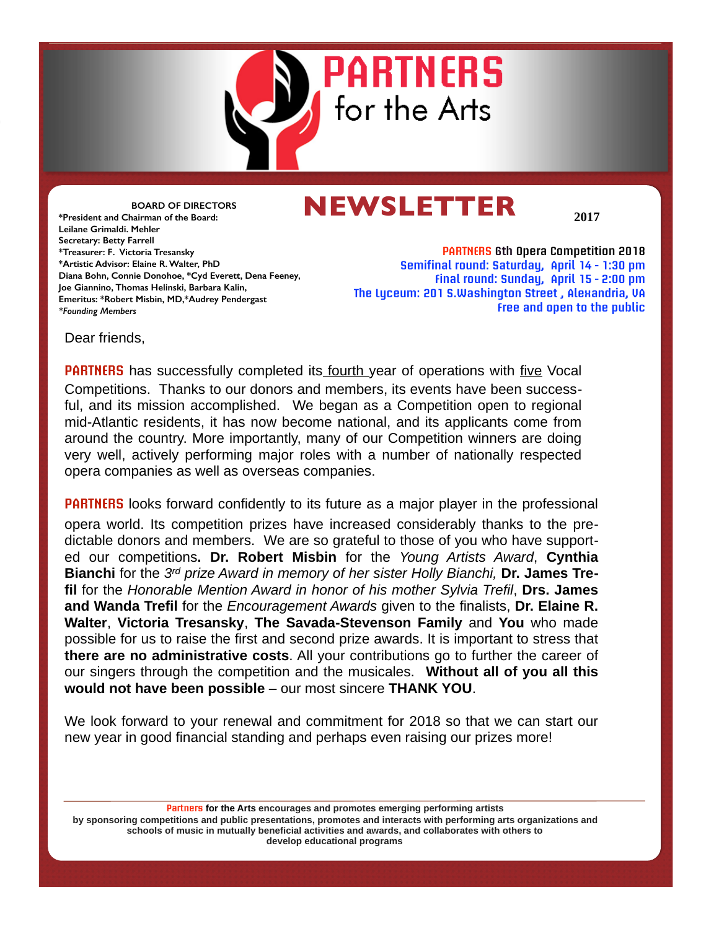

# **NEWSLETTER**

**2017**

**BOARD OF DIRECTORS \*President and Chairman of the Board: Leilane Grimaldi. Mehler Secretary: Betty Farrell \*Treasurer: F. Victoria Tresansky \*Artistic Advisor: Elaine R. Walter, PhD Diana Bohn, Connie Donohoe, \*Cyd Everett, Dena Feeney, Joe Giannino, Thomas Helinski, Barbara Kalin, Emeritus: \*Robert Misbin, MD,\*Audrey Pendergast** *\*Founding Members*

**PARTNERS 6th Opera Competition 2018 Semifinal round: Saturday, April 14 - 1:30 pm Final round: Sunday, April 15 - 2:00 pm The Lyceum: 201 S.Washington Street , Alexandria, VA Free and open to the public**

Dear friends,

**PARTNERS** has successfully completed its fourth year of operations with five Vocal Competitions. Thanks to our donors and members, its events have been successful, and its mission accomplished. We began as a Competition open to regional mid-Atlantic residents, it has now become national, and its applicants come from around the country. More importantly, many of our Competition winners are doing very well, actively performing major roles with a number of nationally respected opera companies as well as overseas companies.

**PARTNERS** looks forward confidently to its future as a major player in the professional opera world. Its competition prizes have increased considerably thanks to the predictable donors and members. We are so grateful to those of you who have supported our competitions**. Dr. Robert Misbin** for the *Young Artists Award*, **Cynthia Bianchi** for the *3rd prize Award in memory of her sister Holly Bianchi,* **Dr. James Trefil** for the *Honorable Mention Award in honor of his mother Sylvia Trefil*, **Drs. James and Wanda Trefil** for the *Encouragement Awards* given to the finalists, **Dr. Elaine R. Walter**, **Victoria Tresansky**, **The Savada-Stevenson Family** and **You** who made possible for us to raise the first and second prize awards. It is important to stress that **there are no administrative costs**. All your contributions go to further the career of our singers through the competition and the musicales. **Without all of you all this would not have been possible** – our most sincere **THANK YOU**.

We look forward to your renewal and commitment for 2018 so that we can start our new year in good financial standing and perhaps even raising our prizes more!

**Partners for the Arts encourages and promotes emerging performing artists by sponsoring competitions and public presentations, promotes and interacts with performing arts organizations and schools of music in mutually beneficial activities and awards, and collaborates with others to develop educational programs**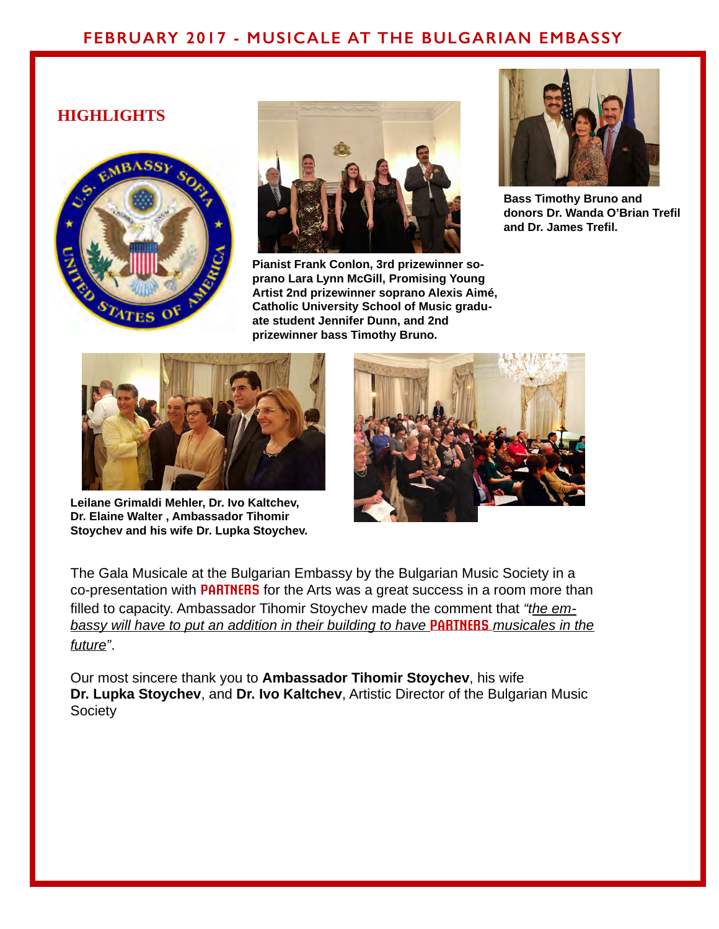# **FEBRUARY 2017 - MUSICALE AT THE BULGARIAN EMBASSY**

## **HIGHLIGHTS**





**Pianist Frank Conlon, 3rd prizewinner soprano Lara Lynn McGill, Promising Young Artist 2nd prizewinner soprano Alexis Aimé, Catholic University School of Music graduate student Jennifer Dunn, and 2nd prizewinner bass Timothy Bruno.**



**Bass Timothy Bruno and donors Dr. Wanda O'Brian Trefil and Dr. James Trefil.**



**Leilane Grimaldi Mehler, Dr. Ivo Kaltchev, Dr. Elaine Walter , Ambassador Tihomir Stoychev and his wife Dr. Lupka Stoychev.**



The Gala Musicale at the Bulgarian Embassy by the Bulgarian Music Society in a co-presentation with **PARTNERS** for the Arts was a great success in a room more than filled to capacity. Ambassador Tihomir Stoychev made the comment that *"the embassy will have to put an addition in their building to have* **PARTNERS** *musicales in the future"*.

Our most sincere thank you to **Ambassador Tihomir Stoychev**, his wife **Dr. Lupka Stoychev**, and **Dr. Ivo Kaltchev**, Artistic Director of the Bulgarian Music **Society**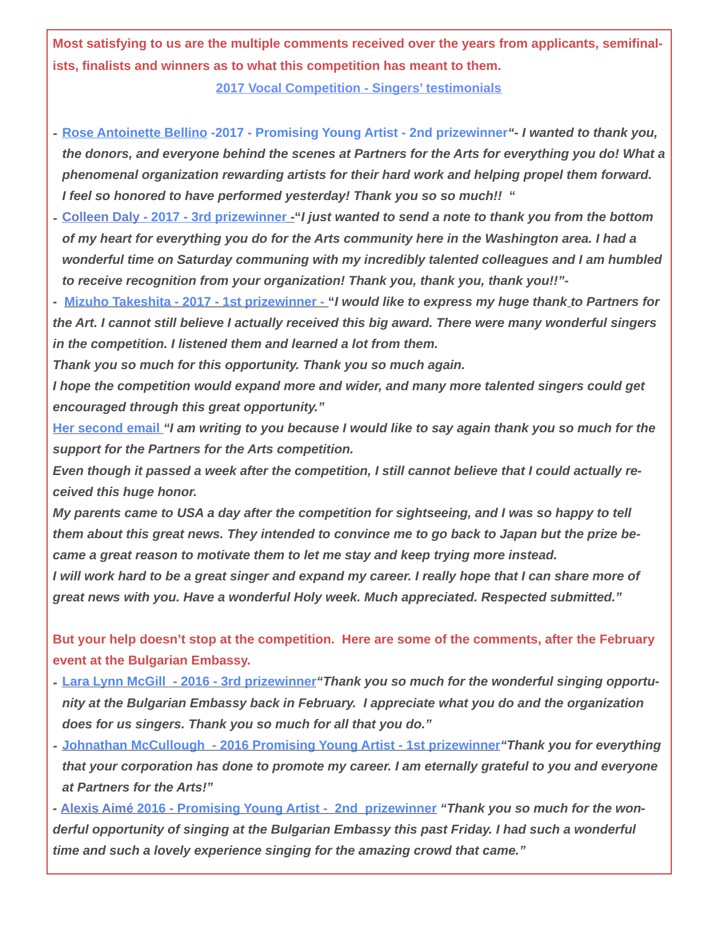**Most satisfying to us are the multiple comments received over the years from applicants, semifinalists, finalists and winners as to what this competition has meant to them.**

**2017 Vocal Competition - Singers' testimonials**

- *-* **Rose Antoinette Bellino -2017 Promising Young Artist 2nd prizewinner***"- I wanted to thank you, the donors, and everyone behind the scenes at Partners for the Arts for everything you do! What a phenomenal organization rewarding artists for their hard work and helping propel them forward. I feel so honored to have performed yesterday! Thank you so so much!!* **"**
- *-* **Colleen Daly 2017 3rd prizewinner -"***I just wanted to send a note to thank you from the bottom of my heart for everything you do for the Arts community here in the Washington area. I had a wonderful time on Saturday communing with my incredibly talented colleagues and I am humbled to receive recognition from your organization! Thank you, thank you, thank you!!"***-**
- **Mizuho Takeshita 2017 1st prizewinner "***I would like to express my huge thank to Partners for the Art. I cannot still believe I actually received this big award. There were many wonderful singers in the competition. I listened them and learned a lot from them.*

*Thank you so much for this opportunity. Thank you so much again.*

*I hope the competition would expand more and wider, and many more talented singers could get encouraged through this great opportunity."*

**Her second email** *"I am writing to you because I would like to say again thank you so much for the support for the Partners for the Arts competition.*

*Even though it passed a week after the competition, I still cannot believe that I could actually received this huge honor.*

*My parents came to USA a day after the competition for sightseeing, and I was so happy to tell them about this great news. They intended to convince me to go back to Japan but the prize became a great reason to motivate them to let me stay and keep trying more instead.*

*I will work hard to be a great singer and expand my career. I really hope that I can share more of great news with you. Have a wonderful Holy week. Much appreciated. Respected submitted."*

**But your help doesn't stop at the competition. Here are some of the comments, after the February event at the Bulgarian Embassy.**

- *-* **Lara Lynn McGill 2016 3rd prizewinner***"Thank you so much for the wonderful singing opportunity at the Bulgarian Embassy back in February. I appreciate what you do and the organization does for us singers. Thank you so much for all that you do."*
- *-* **Johnathan McCullough 2016 Promising Young Artist 1st prizewinner***"Thank you for everything that your corporation has done to promote my career. I am eternally grateful to you and everyone at Partners for the Arts!"*
- **Alexis Aimé 2016 Promising Young Artist 2nd prizewinner** *"Thank you so much for the wonderful opportunity of singing at the Bulgarian Embassy this past Friday. I had such a wonderful time and such a lovely experience singing for the amazing crowd that came."*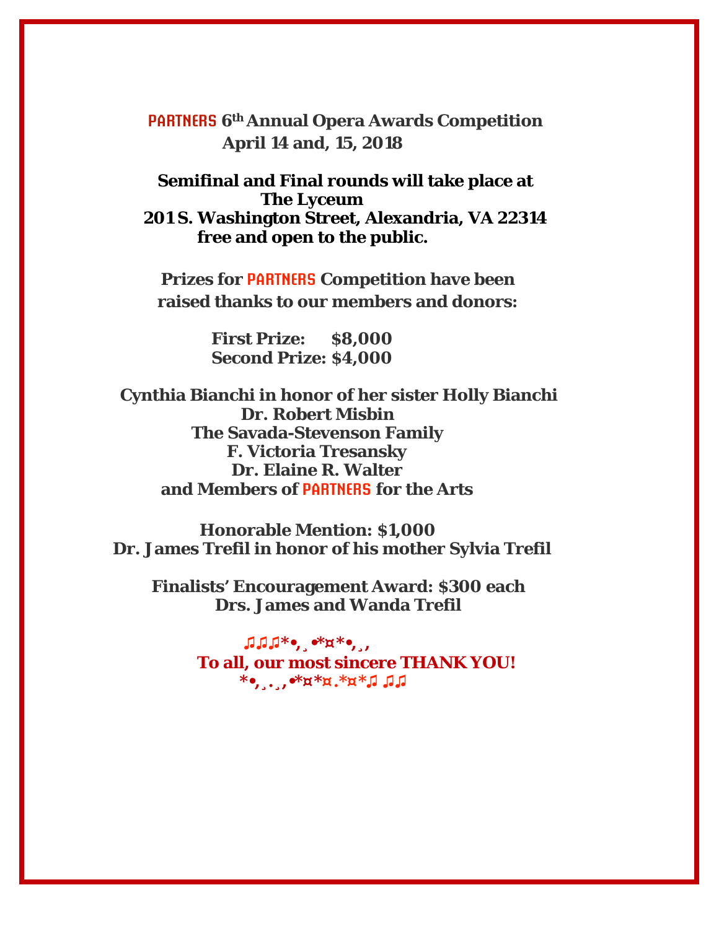**PARTNERS 6th Annual Opera Awards Competition April 14 and, 15, 2018** 

 **Semifinal and Final rounds will take place at The Lyceum 201 S. Washington Street, Alexandria, VA 22314** 

**free and open to the public.** 

 **Prizes for PARTNERS Competition have been raised thanks to our members and donors:** 

> **First Prize: \$8,000 Second Prize: \$4,000**

 **Cynthia Bianchi in honor of her sister Holly Bianchi Dr. Robert Misbin The Savada-Stevenson Family F. Victoria Tresansky Dr. Elaine R. Walter and Members of PARTNERS for the Arts** 

 **Honorable Mention: \$1,000 Dr. James Trefil in honor of his mother Sylvia Trefil**

 **Finalists' Encouragement Award: \$300 each Drs. James and Wanda Trefil**

> **♫♫♫\*•,¸•\*¤\*•,¸, To all, our most sincere THANK YOU! \*•,¸.¸,•\*¤\*¤.\*¤\*♫ ♫♫**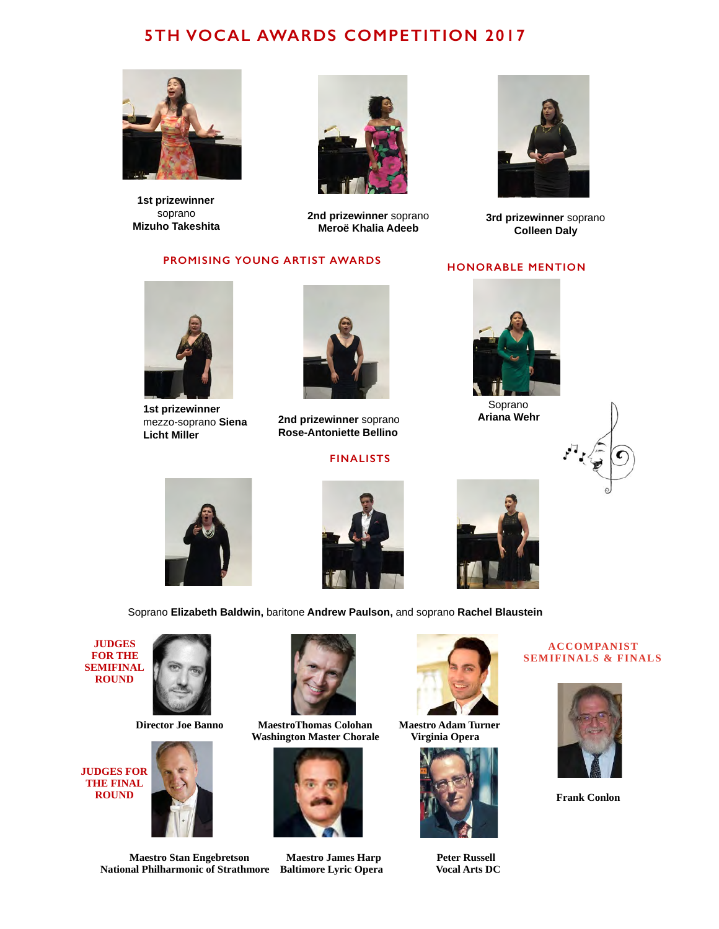# **5TH VOCAL AWARDS COMPETITION 2017**



**1st prizewinner** soprano **Mizuho Takeshita**



**2nd prizewinner** soprano **Meroë Khalia Adeeb**

## **PROMISING YOUNG ARTIST AWARDS**



**3rd prizewinner** soprano **Colleen Daly**

### **HONORABLE MENTION**



**1st prizewinner** mezzo-soprano **Siena Licht Miller**



**2nd prizewinner** soprano **Rose-Antoniette Bellino**

## **FINALISTS**



Soprano **Ariana Wehr**









Soprano **Elizabeth Baldwin,** baritone **Andrew Paulson,** and soprano **Rachel Blaustein**

**JUDGES FOR THE SEMIFINAL ROUND** 











**Maestro Stan Engebretson Maestro James Harp Peter Russell<br>
al Philharmonic of Strathmore Baltimore Lyric Opera Vocal Arts DC National Philharmonic of Strathmore Baltimore Lyric Opera** 





#### **ACCOMPANIST SEMIFINALS & FINALS**



**Frank Conlon**